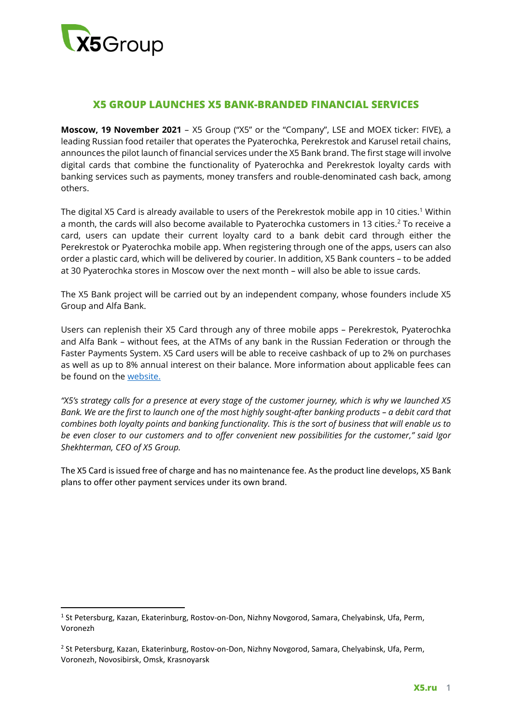

 $\overline{\phantom{a}}$ 

# **X5 GROUP LAUNCHES X5 BANK-BRANDED FINANCIAL SERVICES**

**Moscow, 19 November 2021** – X5 Group ("X5" or the "Company", LSE and MOEX ticker: FIVE), a leading Russian food retailer that operates the Pyaterochka, Perekrestok and Karusel retail chains, announces the pilot launch of financial services under the X5 Bank brand. The first stage will involve digital cards that combine the functionality of Pyaterochka and Perekrestok loyalty cards with banking services such as payments, money transfers and rouble-denominated cash back, among others.

The digital X5 Card is already available to users of the Perekrestok mobile app in 10 cities.<sup>1</sup> Within a month, the cards will also become available to Pyaterochka customers in 13 cities.<sup>2</sup> To receive a card, users can update their current loyalty card to a bank debit card through either the Perekrestok or Pyaterochka mobile app. When registering through one of the apps, users can also order a plastic card, which will be delivered by courier. In addition, X5 Bank counters – to be added at 30 Pyaterochka stores in Moscow over the next month – will also be able to issue cards.

The X5 Bank project will be carried out by an independent company, whose founders include X5 Group and Alfa Bank.

Users can replenish their X5 Card through any of three mobile apps – Perekrestok, Pyaterochka and Alfa Bank – without fees, at the ATMs of any bank in the Russian Federation or through the Faster Payments System. X5 Card users will be able to receive cashback of up to 2% on purchases as well as up to 8% annual interest on their balance. More information about applicable fees can be found on the [website.](https://x5bank.ru/)

*"X5's strategy calls for a presence at every stage of the customer journey, which is why we launched X5 Bank. We are the first to launch one of the most highly sought-after banking products – a debit card that combines both loyalty points and banking functionality. This is the sort of business that will enable us to be even closer to our customers and to offer convenient new possibilities for the customer," said Igor Shekhterman, CEO of X5 Group.*

The X5 Card is issued free of charge and has no maintenance fee. As the product line develops, X5 Bank plans to offer other payment services under its own brand.

<sup>&</sup>lt;sup>1</sup> St Petersburg, Kazan, Ekaterinburg, Rostov-on-Don, Nizhny Novgorod, Samara, Chelyabinsk, Ufa, Perm, Voronezh

<sup>&</sup>lt;sup>2</sup> St Petersburg, Kazan, Ekaterinburg, Rostov-on-Don, Nizhny Novgorod, Samara, Chelyabinsk, Ufa, Perm, Voronezh, Novosibirsk, Omsk, Krasnoyarsk